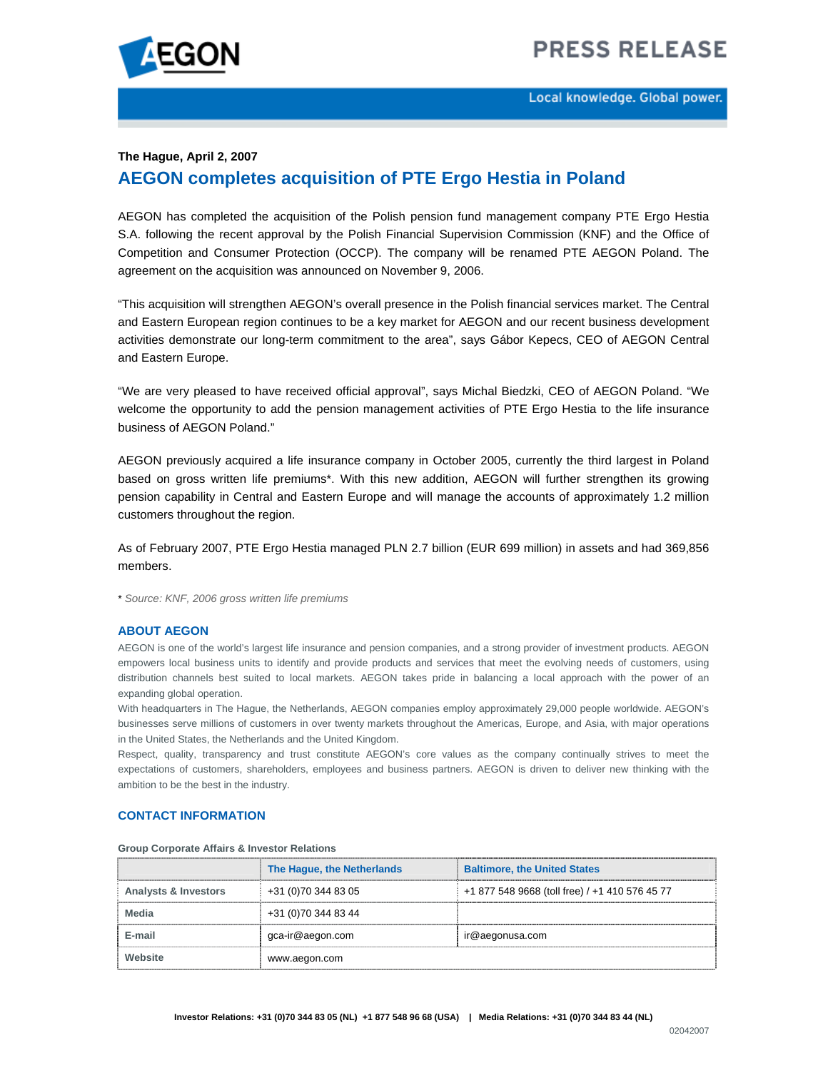# **PRESS RELEASE**



Local knowledge. Global power.

## **The Hague, April 2, 2007 AEGON completes acquisition of PTE Ergo Hestia in Poland**

AEGON has completed the acquisition of the Polish pension fund management company PTE Ergo Hestia S.A. following the recent approval by the Polish Financial Supervision Commission (KNF) and the Office of Competition and Consumer Protection (OCCP). The company will be renamed PTE AEGON Poland. The agreement on the acquisition was announced on November 9, 2006.

"This acquisition will strengthen AEGON's overall presence in the Polish financial services market. The Central and Eastern European region continues to be a key market for AEGON and our recent business development activities demonstrate our long-term commitment to the area", says Gábor Kepecs, CEO of AEGON Central and Eastern Europe.

"We are very pleased to have received official approval", says Michal Biedzki, CEO of AEGON Poland. "We welcome the opportunity to add the pension management activities of PTE Ergo Hestia to the life insurance business of AEGON Poland."

AEGON previously acquired a life insurance company in October 2005, currently the third largest in Poland based on gross written life premiums\*. With this new addition, AEGON will further strengthen its growing pension capability in Central and Eastern Europe and will manage the accounts of approximately 1.2 million customers throughout the region.

As of February 2007, PTE Ergo Hestia managed PLN 2.7 billion (EUR 699 million) in assets and had 369,856 members.

\* *Source: KNF, 2006 gross written life premiums* 

#### **ABOUT AEGON**

AEGON is one of the world's largest life insurance and pension companies, and a strong provider of investment products. AEGON empowers local business units to identify and provide products and services that meet the evolving needs of customers, using distribution channels best suited to local markets. AEGON takes pride in balancing a local approach with the power of an expanding global operation.

With headquarters in The Hague, the Netherlands, AEGON companies employ approximately 29,000 people worldwide. AEGON's businesses serve millions of customers in over twenty markets throughout the Americas, Europe, and Asia, with major operations in the United States, the Netherlands and the United Kingdom.

Respect, quality, transparency and trust constitute AEGON's core values as the company continually strives to meet the expectations of customers, shareholders, employees and business partners. AEGON is driven to deliver new thinking with the ambition to be the best in the industry.

#### **CONTACT INFORMATION**

|                                 | The Hague, the Netherlands | <b>Baltimore, the United States</b>            |
|---------------------------------|----------------------------|------------------------------------------------|
| <b>Analysts &amp; Investors</b> | +31 (0)70 344 83 05        | +1 877 548 9668 (toll free) / +1 410 576 45 77 |
| Media                           | +31 (0) 70 344 83 44       |                                                |
| E-mail                          | gca-ir@aegon.com           | ir@aegonusa.com                                |
| Website                         | www.aegon.com              |                                                |

**Group Corporate Affairs & Investor Relations**